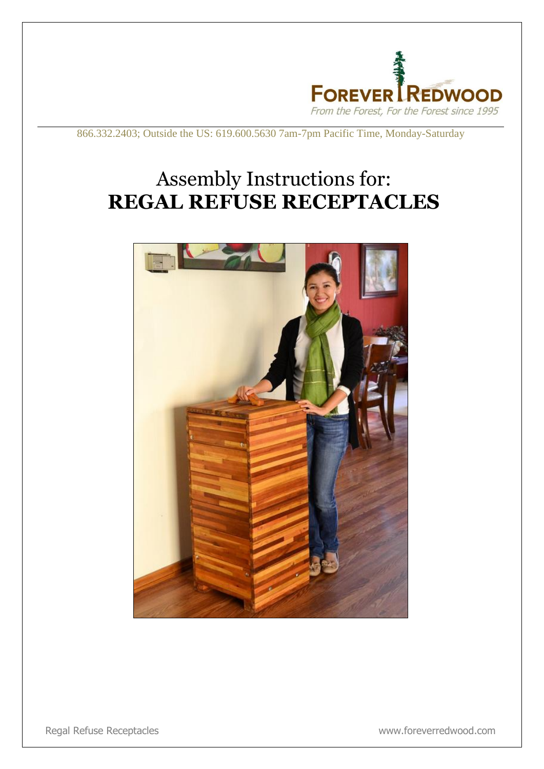

866.332.2403; Outside the US: 619.600.5630 7am-7pm Pacific Time, Monday-Saturday

## Assembly Instructions for: **REGAL REFUSE RECEPTACLES**



Regal Refuse Receptacles www.foreverredwood.com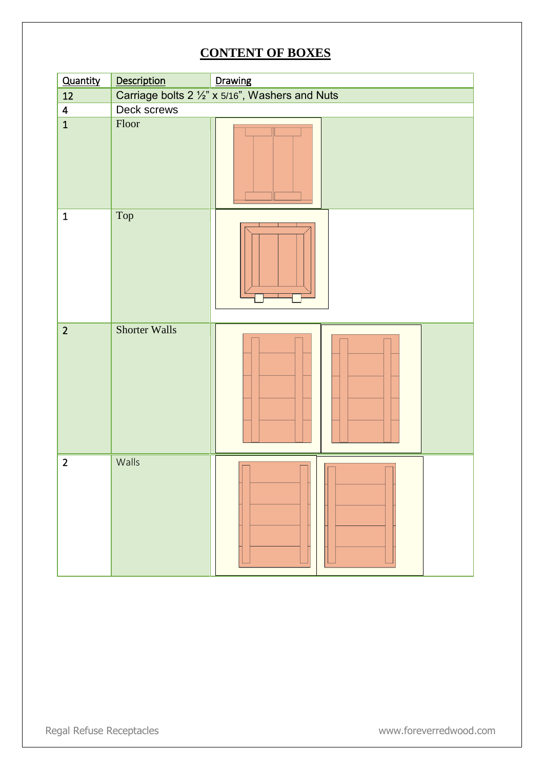## **CONTENT OF BOXES**

| Quantity                | Description          | Drawing                                         |
|-------------------------|----------------------|-------------------------------------------------|
| $12\,$                  |                      | Carriage bolts 2 1/2" x 5/16", Washers and Nuts |
| $\overline{\mathbf{4}}$ | Deck screws          |                                                 |
| $\overline{\mathbf{1}}$ | Floor                |                                                 |
| $\mathbf 1$             | Top                  |                                                 |
| $\overline{2}$          | <b>Shorter Walls</b> |                                                 |
| $\overline{2}$          | Walls                |                                                 |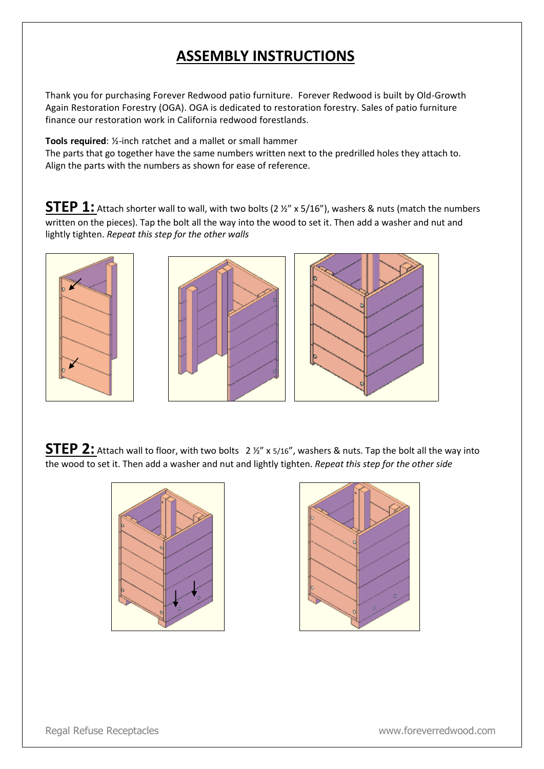## **ASSEMBLY INSTRUCTIONS**

Thank you for purchasing Forever Redwood patio furniture. Forever Redwood is built by Old-Growth Again Restoration Forestry (OGA). OGA is dedicated to restoration forestry. Sales of patio furniture finance our restoration work in California redwood forestlands.

**Tools required**: ½-inch ratchet and a mallet or small hammer

The parts that go together have the same numbers written next to the predrilled holes they attach to. Align the parts with the numbers as shown for ease of reference.

**STEP 1:** Attach shorter wall to wall, with two bolts (2  $\frac{1}{2}$  x 5/16"), washers & nuts (match the numbers written on the pieces). Tap the bolt all the way into the wood to set it. Then add a washer and nut and lightly tighten. *Repeat this step for the other walls*



**STEP 2:** Attach wall to floor, with two bolts 2 1/2" x 5/16", washers & nuts. Tap the bolt all the way into the wood to set it. Then add a washer and nut and lightly tighten. *Repeat this step for the other side*